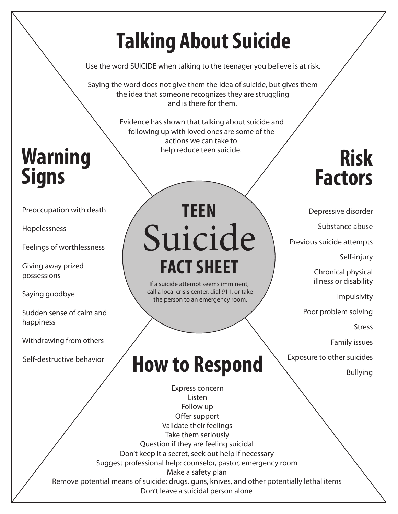## **Talking About Suicide**

Use the word SUICIDE when talking to the teenager you believe is at risk.

Saying the word does not give them the idea of suicide, but gives them the idea that someone recognizes they are struggling and is there for them.

> Evidence has shown that talking about suicide and following up with loved ones are some of the actions we can take to

### **Risk Factors**

Depressive disorder

Substance abuse

Previous suicide attempts

Self-injury

Chronical physical illness or disability

Impulsivity

Poor problem solving

**Stress** 

Family issues

**How to Respond Exposure to other suicides** 

### Warning **Warning Signs**

Preoccupation with death

Hopelessness

Feelings of worthlessness

Giving away prized possessions

Saying goodbye

Sudden sense of calm and happiness

Withdrawing from others

Self-destructive behavior

# Suicide **TEEN FACT SHEET**

If a suicide attempt seems imminent, call a local crisis center, dial 911, or take the person to an emergency room.

Express concern Listen Follow up Offer support Validate their feelings Take them seriously Question if they are feeling suicidal Don't keep it a secret, seek out help if necessary Suggest professional help: counselor, pastor, emergency room Make a safety plan Remove potential means of suicide: drugs, guns, knives, and other potentially lethal items Don't leave a suicidal person alone